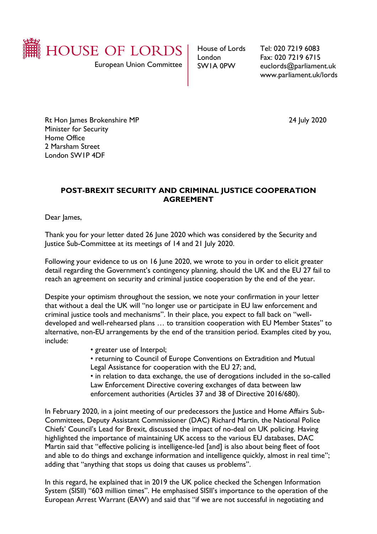

European Union Committee

House of Lords London SW1A 0PW

Tel: 020 7219 6083 Fax: 020 7219 6715 euclords@parliament.uk www.parliament.uk/lords

Rt Hon James Brokenshire MP 2020 Minister for Security Home Office 2 Marsham Street London SW1P 4DF

## **POST-BREXIT SECURITY AND CRIMINAL JUSTICE COOPERATION AGREEMENT**

Dear James,

Thank you for your letter dated 26 June 2020 which was considered by the Security and Justice Sub-Committee at its meetings of 14 and 21 July 2020.

Following your evidence to us on 16 June 2020, we wrote to you in order to elicit greater detail regarding the Government's contingency planning, should the UK and the EU 27 fail to reach an agreement on security and criminal justice cooperation by the end of the year.

Despite your optimism throughout the session, we note your confirmation in your letter that without a deal the UK will "no longer use or participate in EU law enforcement and criminal justice tools and mechanisms". In their place, you expect to fall back on "welldeveloped and well-rehearsed plans … to transition cooperation with EU Member States" to alternative, non-EU arrangements by the end of the transition period. Examples cited by you, include:

- greater use of Interpol;
- returning to Council of Europe Conventions on Extradition and Mutual
- Legal Assistance for cooperation with the EU 27; and,

• in relation to data exchange, the use of derogations included in the so-called Law Enforcement Directive covering exchanges of data between law enforcement authorities (Articles 37 and 38 of Directive 2016/680).

In February 2020, in a joint meeting of our predecessors the Justice and Home Affairs Sub-Committees, Deputy Assistant Commissioner (DAC) Richard Martin, the National Police Chiefs' Council's Lead for Brexit, discussed the impact of no-deal on UK policing. Having highlighted the importance of maintaining UK access to the various EU databases, DAC Martin said that "effective policing is intelligence-led [and] is also about being fleet of foot and able to do things and exchange information and intelligence quickly, almost in real time"; adding that "anything that stops us doing that causes us problems".

In this regard, he explained that in 2019 the UK police checked the Schengen Information System (SISII) "603 million times". He emphasised SISII's importance to the operation of the European Arrest Warrant (EAW) and said that "if we are not successful in negotiating and